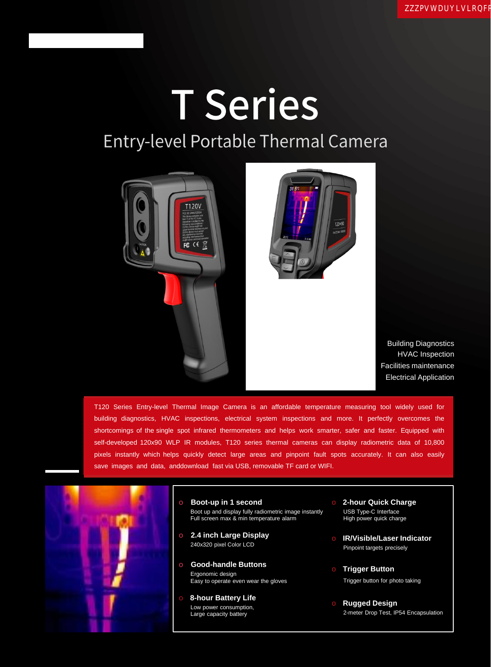## **T** Series Entry-level Portable Thermal Camera



Building Diagnostics HVAC Inspection Facilities maintenance Electrical Application

T120 Series Entry-level Thermal Image Camera is an affordable temperature measuring tool widely used for building diagnostics, HVAC inspections, electrical system inspections and more. It perfectly overcomes the shortcomings of the single spot infrared thermometers and helps work smarter, safer and faster. Equipped with self-developed 120x90 WLP IR modules, T120 series thermal cameras can display radiometric data of 10,800 pixels instantly which helps quickly detect large areas and pinpoint fault spots accurately. It can also easily save images and data, anddownload fast via USB, removable TF card or WIFI.



- o **Boot-up in 1 second** Boot up and display fully radiometric image instantly Full screen max & min temperature alarm
- o **2.4 inch Large Display** 240x320 pixel Color LCD
- o **Good-handle Buttons** Ergonomic design Easy to operate even wear the gloves
- **8-hour Battery Life** Low power consumption, Large capacity battery
- **2-hour Quick Charge** USB Type-C Interface High power quick charge
- o **IR/Visible/Laser Indicator** Pinpoint targets precisely
- o **Trigger Button** Trigger button for photo taking
- o **Rugged Design** 2-meter Drop Test, IP54 Encapsulation